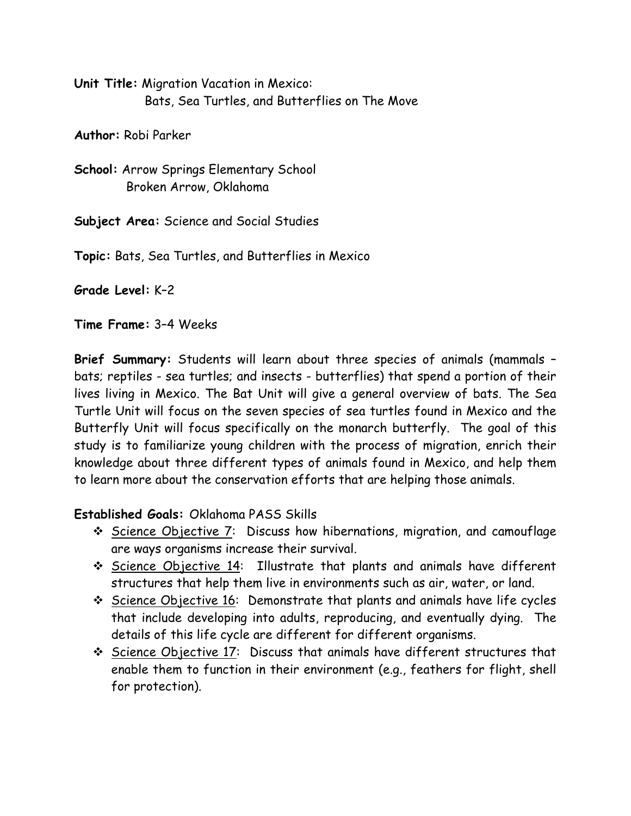**Unit Title:** Migration Vacation in Mexico: Bats, Sea Turtles, and Butterflies on The Move

**Author:** Robi Parker

**School:** Arrow Springs Elementary School Broken Arrow, Oklahoma

**Subject Area:** Science and Social Studies

**Topic:** Bats, Sea Turtles, and Butterflies in Mexico

**Grade Level:** K–2

**Time Frame:** 3–4 Weeks

**Brief Summary:** Students will learn about three species of animals (mammals – bats; reptiles - sea turtles; and insects - butterflies) that spend a portion of their lives living in Mexico. The Bat Unit will give a general overview of bats. The Sea Turtle Unit will focus on the seven species of sea turtles found in Mexico and the Butterfly Unit will focus specifically on the monarch butterfly. The goal of this study is to familiarize young children with the process of migration, enrich their knowledge about three different types of animals found in Mexico, and help them to learn more about the conservation efforts that are helping those animals.

#### **Established Goals:** Oklahoma PASS Skills

- Science Objective 7: Discuss how hibernations, migration, and camouflage are ways organisms increase their survival.
- $\cdot$  Science Objective 14: Illustrate that plants and animals have different structures that help them live in environments such as air, water, or land.
- ◆ Science Objective 16: Demonstrate that plants and animals have life cycles that include developing into adults, reproducing, and eventually dying. The details of this life cycle are different for different organisms.
- Science Objective 17: Discuss that animals have different structures that enable them to function in their environment (e.g., feathers for flight, shell for protection).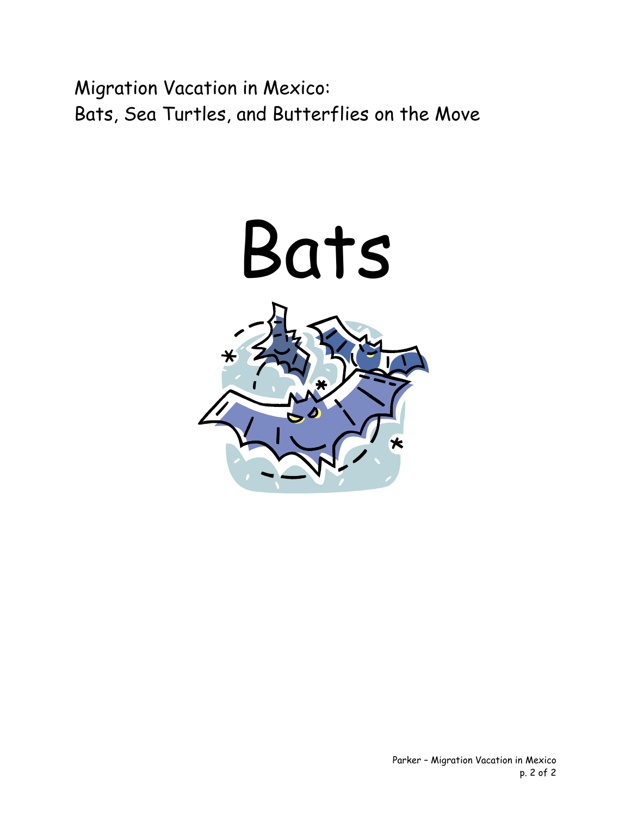Migration Vacation in Mexico: Bats, Sea Turtles, and Butterflies on the Move

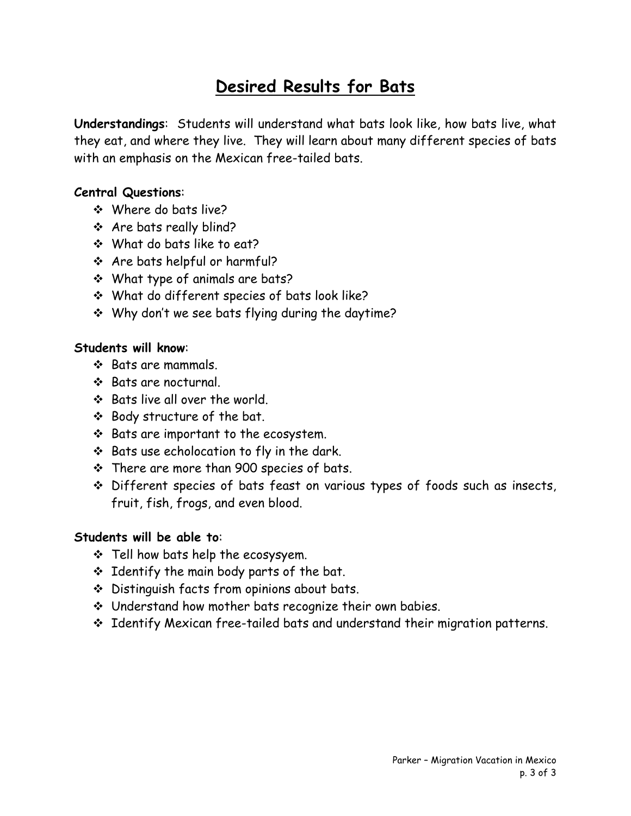#### **Desired Results for Bats**

**Understandings**: Students will understand what bats look like, how bats live, what they eat, and where they live. They will learn about many different species of bats with an emphasis on the Mexican free-tailed bats.

#### **Central Questions**:

- Where do bats live?
- Are bats really blind?
- What do bats like to eat?
- Are bats helpful or harmful?
- What type of animals are bats?
- What do different species of bats look like?
- \* Why don't we see bats flying during the daytime?

#### **Students will know**:

- $\div$  Bats are mammals.
- Bats are nocturnal.
- ❖ Bats live all over the world.
- Body structure of the bat.
- $\div$  Bats are important to the ecosystem.
- $\div$  Bats use echolocation to fly in the dark.
- There are more than 900 species of bats.
- Different species of bats feast on various types of foods such as insects, fruit, fish, frogs, and even blood.

#### **Students will be able to**:

- $\cdot$  Tell how bats help the ecosysyem.
- $\div$  Identify the main body parts of the bat.
- Distinguish facts from opinions about bats.
- Understand how mother bats recognize their own babies.
- \* Identify Mexican free-tailed bats and understand their migration patterns.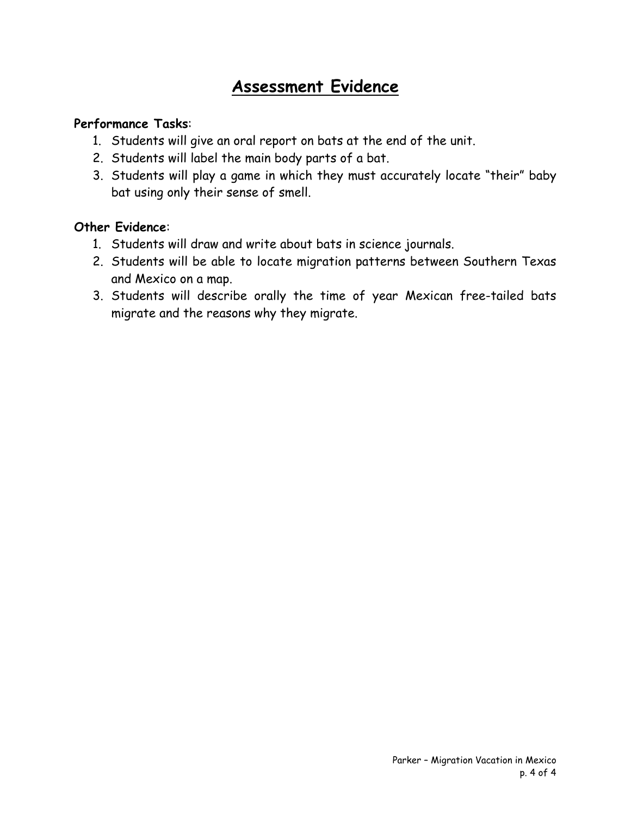#### **Assessment Evidence**

#### **Performance Tasks**:

- 1. Students will give an oral report on bats at the end of the unit.
- 2. Students will label the main body parts of a bat.
- 3. Students will play a game in which they must accurately locate "their" baby bat using only their sense of smell.

#### **Other Evidence**:

- 1. Students will draw and write about bats in science journals.
- 2. Students will be able to locate migration patterns between Southern Texas and Mexico on a map.
- 3. Students will describe orally the time of year Mexican free-tailed bats migrate and the reasons why they migrate.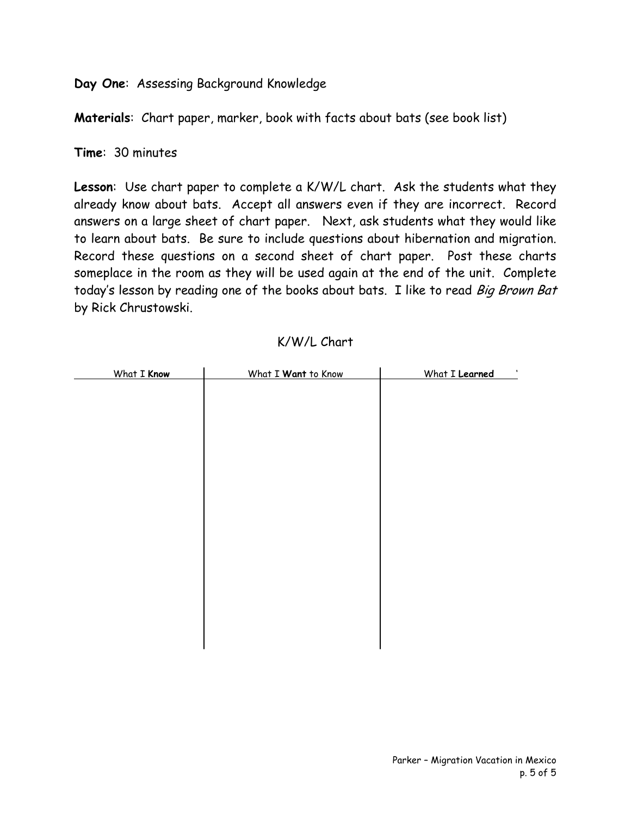**Day One**: Assessing Background Knowledge

**Materials**: Chart paper, marker, book with facts about bats (see book list)

**Time**: 30 minutes

**Lesson**: Use chart paper to complete a K/W/L chart. Ask the students what they already know about bats. Accept all answers even if they are incorrect. Record answers on a large sheet of chart paper. Next, ask students what they would like to learn about bats. Be sure to include questions about hibernation and migration. Record these questions on a second sheet of chart paper. Post these charts someplace in the room as they will be used again at the end of the unit. Complete today's lesson by reading one of the books about bats. I like to read Big Brown Bat by Rick Chrustowski.

| What I Know | What I Want to Know | What I Learned |
|-------------|---------------------|----------------|
|             |                     |                |
|             |                     |                |
|             |                     |                |
|             |                     |                |
|             |                     |                |
|             |                     |                |
|             |                     |                |
|             |                     |                |
|             |                     |                |
|             |                     |                |
|             |                     |                |
|             |                     |                |
|             |                     |                |
|             |                     |                |
|             |                     |                |
|             |                     |                |
|             |                     |                |
|             |                     |                |
|             |                     |                |

#### K/W/L Chart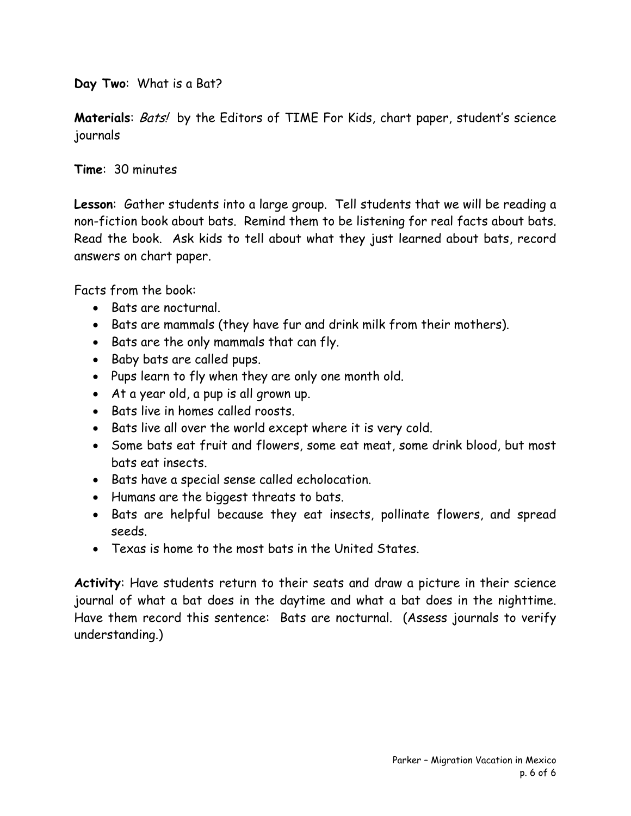**Day Two**: What is a Bat?

**Materials:** Bats! by the Editors of TIME For Kids, chart paper, student's science journals

**Time**: 30 minutes

**Lesson**: Gather students into a large group. Tell students that we will be reading a non-fiction book about bats. Remind them to be listening for real facts about bats. Read the book. Ask kids to tell about what they just learned about bats, record answers on chart paper.

Facts from the book:

- Bats are nocturnal.
- Bats are mammals (they have fur and drink milk from their mothers).
- Bats are the only mammals that can fly.
- Baby bats are called pups.
- Pups learn to fly when they are only one month old.
- At a year old, a pup is all grown up.
- Bats live in homes called roosts.
- Bats live all over the world except where it is very cold.
- Some bats eat fruit and flowers, some eat meat, some drink blood, but most bats eat insects.
- Bats have a special sense called echolocation.
- Humans are the biggest threats to bats.
- Bats are helpful because they eat insects, pollinate flowers, and spread seeds.
- Texas is home to the most bats in the United States.

**Activity**: Have students return to their seats and draw a picture in their science journal of what a bat does in the daytime and what a bat does in the nighttime. Have them record this sentence: Bats are nocturnal. (Assess journals to verify understanding.)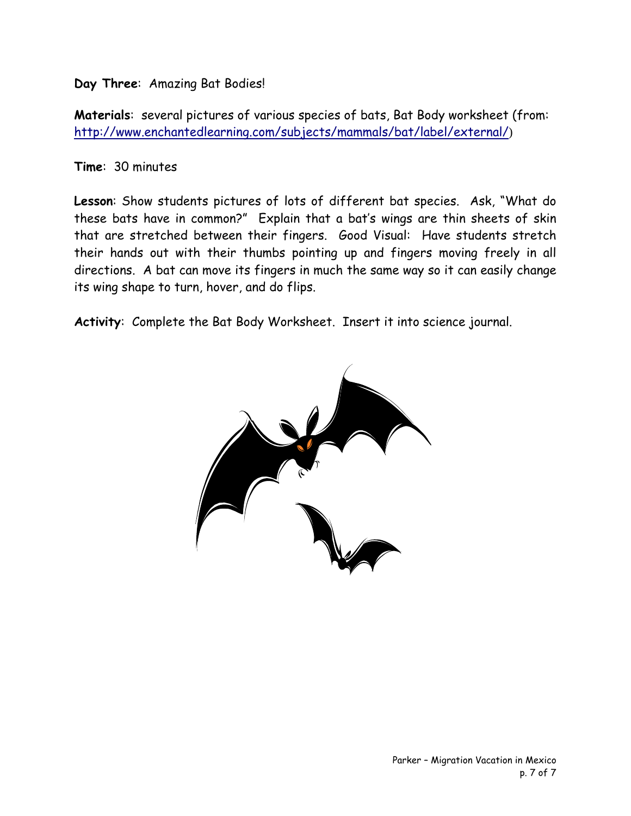**Day Three**: Amazing Bat Bodies!

**Materials**: several pictures of various species of bats, Bat Body worksheet (from: <http://www.enchantedlearning.com/subjects/mammals/bat/label/external/>)

**Time**: 30 minutes

**Lesson**: Show students pictures of lots of different bat species. Ask, "What do these bats have in common?" Explain that a bat's wings are thin sheets of skin that are stretched between their fingers. Good Visual: Have students stretch their hands out with their thumbs pointing up and fingers moving freely in all directions. A bat can move its fingers in much the same way so it can easily change its wing shape to turn, hover, and do flips.

**Activity**: Complete the Bat Body Worksheet. Insert it into science journal.

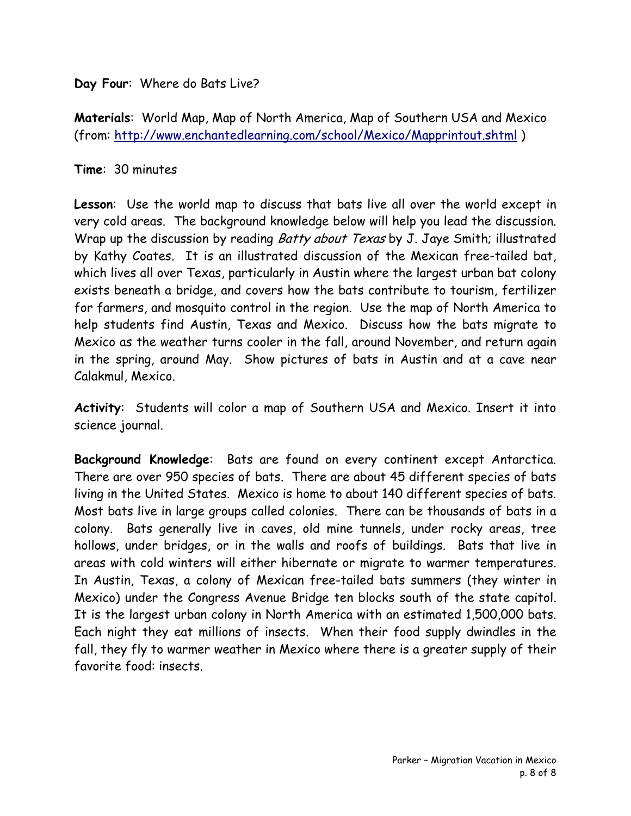**Day Four**: Where do Bats Live?

**Materials**: World Map, Map of North America, Map of Southern USA and Mexico (from:<http://www.enchantedlearning.com/school/Mexico/Mapprintout.shtml> )

#### **Time**: 30 minutes

**Lesson**: Use the world map to discuss that bats live all over the world except in very cold areas. The background knowledge below will help you lead the discussion. Wrap up the discussion by reading Batty about Texas by J. Jaye Smith; illustrated by Kathy Coates. It is an illustrated discussion of the Mexican free-tailed bat, which lives all over Texas, particularly in Austin where the largest urban bat colony exists beneath a bridge, and covers how the bats contribute to tourism, fertilizer for farmers, and mosquito control in the region. Use the map of North America to help students find Austin, Texas and Mexico. Discuss how the bats migrate to Mexico as the weather turns cooler in the fall, around November, and return again in the spring, around May. Show pictures of bats in Austin and at a cave near Calakmul, Mexico.

**Activity**: Students will color a map of Southern USA and Mexico. Insert it into science journal.

**Background Knowledge**: Bats are found on every continent except Antarctica. There are over 950 species of bats. There are about 45 different species of bats living in the United States. Mexico is home to about 140 different species of bats. Most bats live in large groups called colonies. There can be thousands of bats in a colony. Bats generally live in caves, old mine tunnels, under rocky areas, tree hollows, under bridges, or in the walls and roofs of buildings. Bats that live in areas with cold winters will either hibernate or migrate to warmer temperatures. In Austin, Texas, a colony of Mexican free-tailed bats summers (they winter in Mexico) under the Congress Avenue Bridge ten blocks south of the state capitol. It is the largest urban colony in North America with an estimated 1,500,000 bats. Each night they eat millions of insects. When their food supply dwindles in the fall, they fly to warmer weather in Mexico where there is a greater supply of their favorite food: insects.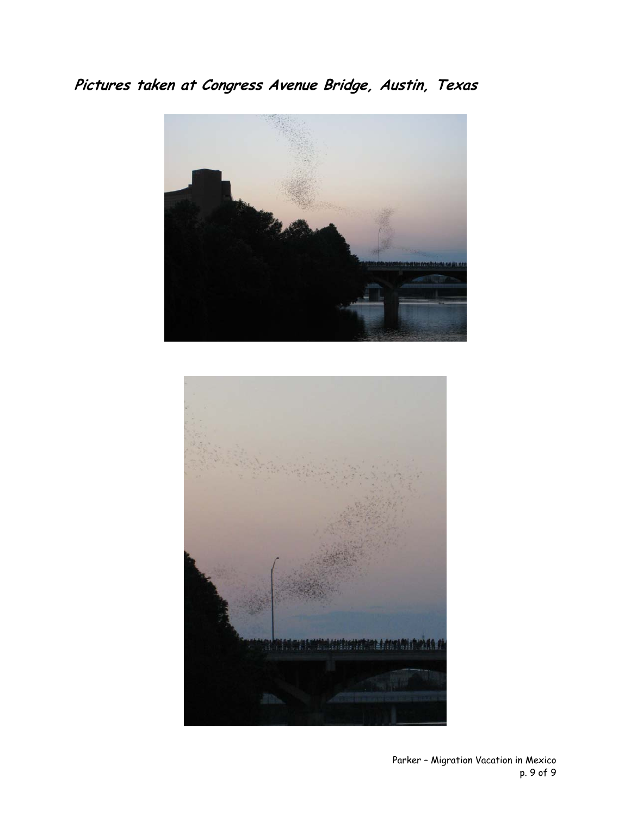**Pictures taken at Congress Avenue Bridge, Austin, Texas** 



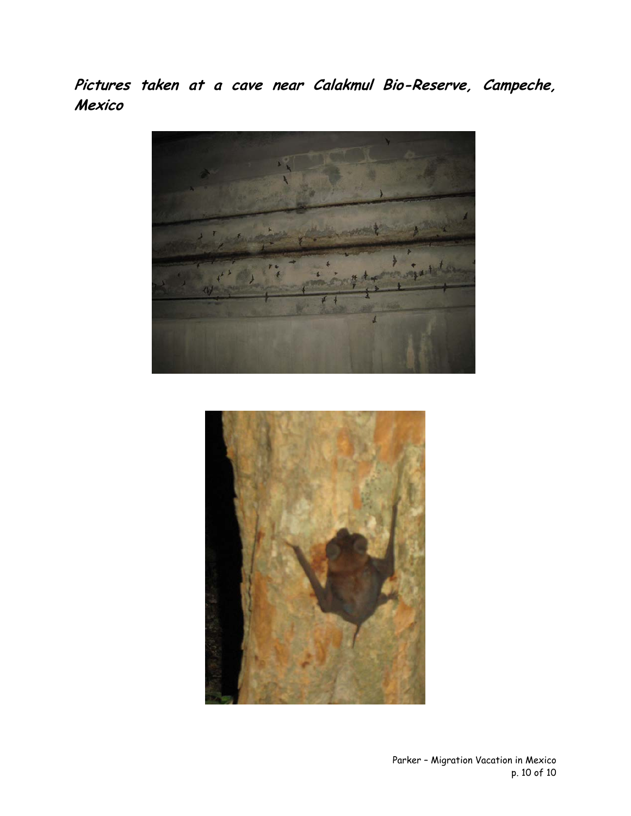**Pictures taken at a cave near Calakmul Bio-Reserve, Campeche, Mexico** 



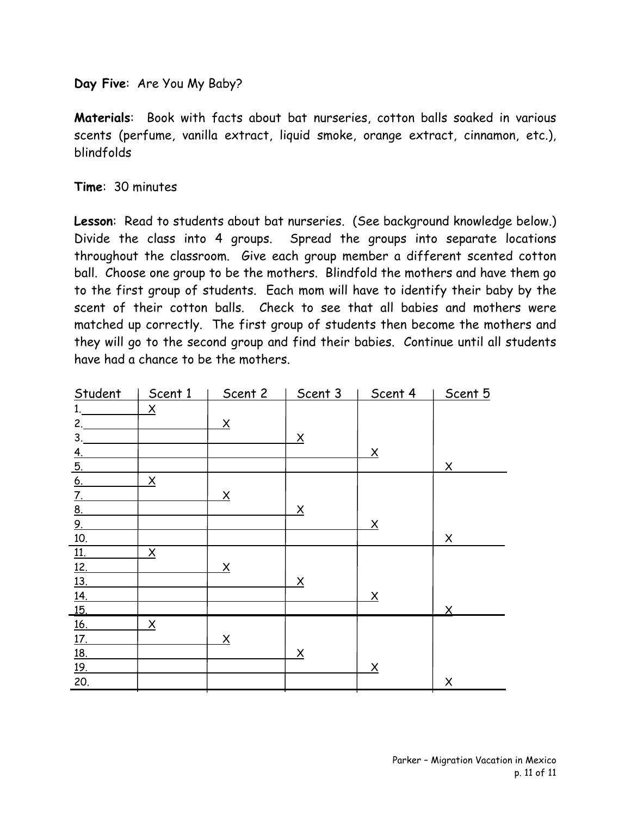**Day Five**: Are You My Baby?

**Materials**: Book with facts about bat nurseries, cotton balls soaked in various scents (perfume, vanilla extract, liquid smoke, orange extract, cinnamon, etc.), blindfolds

**Time**: 30 minutes

**Lesson**: Read to students about bat nurseries. (See background knowledge below.) Divide the class into 4 groups. Spread the groups into separate locations throughout the classroom. Give each group member a different scented cotton ball. Choose one group to be the mothers. Blindfold the mothers and have them go to the first group of students. Each mom will have to identify their baby by the scent of their cotton balls. Check to see that all babies and mothers were matched up correctly. The first group of students then become the mothers and they will go to the second group and find their babies. Continue until all students have had a chance to be the mothers.

| Student                                  | Scent 1                 | Scent 2                 | Scent 3                 | Scent 4                 | Scent 5                 |
|------------------------------------------|-------------------------|-------------------------|-------------------------|-------------------------|-------------------------|
| 1.                                       | $\overline{\mathsf{X}}$ |                         |                         |                         |                         |
| 2.                                       |                         | $\overline{\mathsf{X}}$ |                         |                         |                         |
| 3.                                       |                         |                         | $\overline{\mathsf{X}}$ |                         |                         |
|                                          |                         |                         |                         | $\overline{X}$          |                         |
| $\frac{4.5}{5.6}$<br>$\frac{6.7.8}{2.8}$ |                         |                         |                         |                         | $\times$                |
|                                          | $\overline{\mathsf{X}}$ |                         |                         |                         |                         |
|                                          |                         | $\overline{X}$          |                         |                         |                         |
|                                          |                         |                         | $\underline{X}$         |                         |                         |
|                                          |                         |                         |                         | $\overline{X}$          |                         |
| 10.                                      |                         |                         |                         |                         | X                       |
| $\underline{11}$ .                       | $\overline{\mathsf{X}}$ |                         |                         |                         |                         |
|                                          |                         | $\overline{\mathsf{X}}$ |                         |                         |                         |
|                                          |                         |                         | $\overline{\mathsf{X}}$ |                         |                         |
| $\frac{12}{13}$<br>$\frac{13}{14}$       |                         |                         |                         | $\overline{X}$          |                         |
| 15.                                      |                         |                         |                         |                         | $\overline{\mathsf{X}}$ |
| <u>16.</u>                               | $\overline{\mathsf{X}}$ |                         |                         |                         |                         |
|                                          |                         | $\overline{\mathsf{X}}$ |                         |                         |                         |
| $\frac{17}{18}$                          |                         |                         | $\underline{X}$         |                         |                         |
| <u>19.</u>                               |                         |                         |                         | $\overline{\mathsf{X}}$ |                         |
| 20.                                      |                         |                         |                         |                         | $\pmb{\times}$          |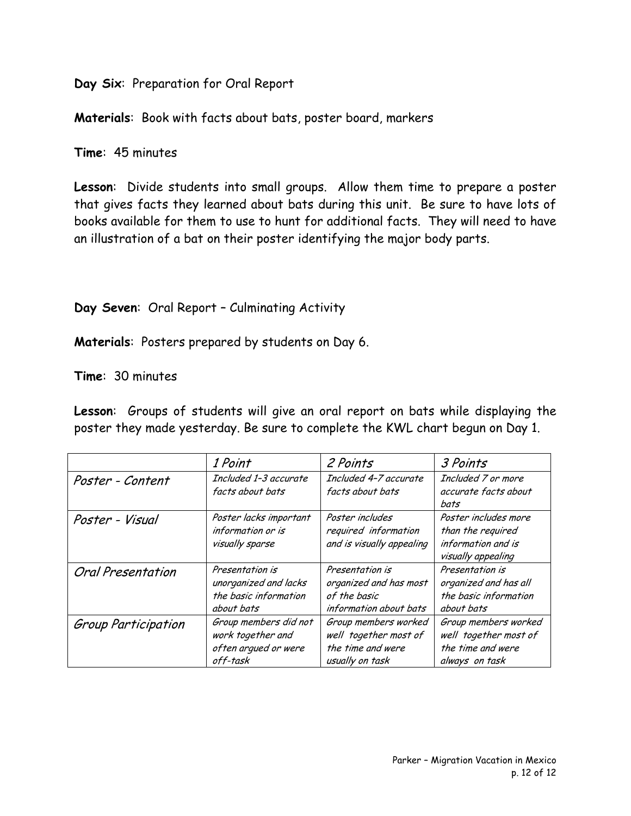**Day Six**: Preparation for Oral Report

**Materials**: Book with facts about bats, poster board, markers

**Time**: 45 minutes

**Lesson**: Divide students into small groups. Allow them time to prepare a poster that gives facts they learned about bats during this unit. Be sure to have lots of books available for them to use to hunt for additional facts. They will need to have an illustration of a bat on their poster identifying the major body parts.

#### **Day Seven**: Oral Report – Culminating Activity

**Materials**: Posters prepared by students on Day 6.

**Time**: 30 minutes

**Lesson**: Groups of students will give an oral report on bats while displaying the poster they made yesterday. Be sure to complete the KWL chart begun on Day 1.

|                     | 1 Point                                                                         | 2 Points                                                                              | 3 Points                                                                              |
|---------------------|---------------------------------------------------------------------------------|---------------------------------------------------------------------------------------|---------------------------------------------------------------------------------------|
| Poster - Content    | Included 1-3 accurate<br>facts about bats                                       | Included 4-7 accurate<br>facts about bats                                             | Included 7 or more<br>accurate facts about<br>bats                                    |
| Poster - Visual     | Poster lacks important<br>information or is<br>visually sparse                  | Poster includes<br>required information<br>and is visually appealing                  | Poster includes more<br>than the required<br>information and is<br>visually appealing |
| Oral Presentation   | Presentation is<br>unorganized and lacks<br>the basic information<br>about bats | Presentation is<br>organized and has most<br>of the basic<br>information about bats   | Presentation is<br>organized and has all<br>the basic information<br>about bats       |
| Group Participation | Group members did not<br>work together and<br>often arqued or were<br>off-task  | Group members worked<br>well together most of<br>the time and were<br>usually on task | Group members worked<br>well together most of<br>the time and were<br>always on task  |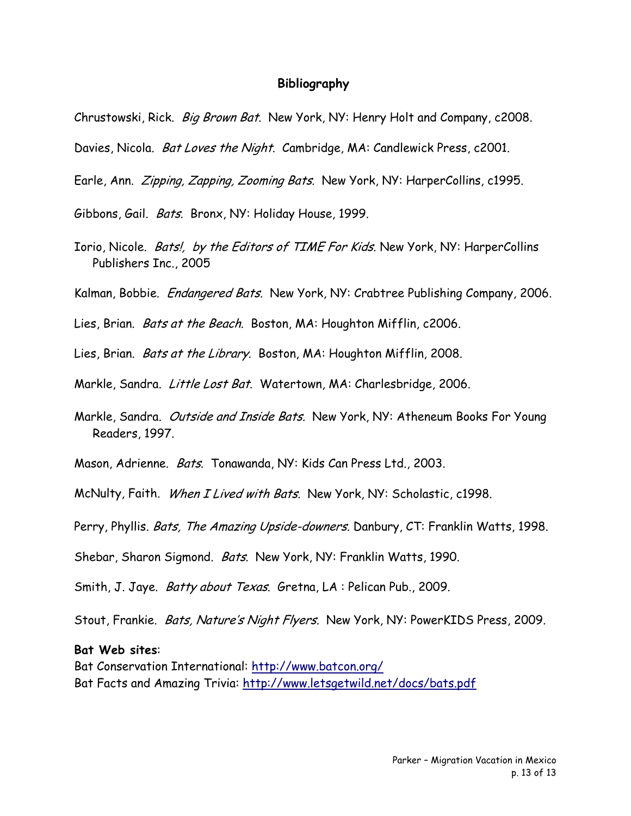#### **Bibliography**

- Chrustowski, Rick. Big Brown Bat. New York, NY: Henry Holt and Company, c2008.
- Davies, Nicola. Bat Loves the Night. Cambridge, MA: Candlewick Press, c2001.
- Earle, Ann. Zipping, Zapping, Zooming Bats. New York, NY: HarperCollins, c1995.
- Gibbons, Gail. Bats. Bronx, NY: Holiday House, 1999.
- Iorio, Nicole. Bats!, by the Editors of TIME For Kids. New York, NY: HarperCollins Publishers Inc., 2005
- Kalman, Bobbie. *Endangered Bats.* New York, NY: Crabtree Publishing Company, 2006.
- Lies, Brian. Bats at the Beach. Boston, MA: Houghton Mifflin, c2006.
- Lies, Brian. Bats at the Library. Boston, MA: Houghton Mifflin, 2008.
- Markle, Sandra. Little Lost Bat. Watertown, MA: Charlesbridge, 2006.
- Markle, Sandra. Outside and Inside Bats. New York, NY: Atheneum Books For Young Readers, 1997.
- Mason, Adrienne. Bats. Tonawanda, NY: Kids Can Press Ltd., 2003.
- McNulty, Faith. When I Lived with Bats. New York, NY: Scholastic, c1998.
- Perry, Phyllis. Bats, The Amazing Upside-downers. Danbury, CT: Franklin Watts, 1998.
- Shebar, Sharon Sigmond. Bats. New York, NY: Franklin Watts, 1990.
- Smith, J. Jaye. *Batty about Texas*. Gretna, LA: Pelican Pub., 2009.
- Stout, Frankie. Bats, Nature's Night Flyers. New York, NY: PowerKIDS Press, 2009.

#### **Bat Web sites**:

Bat Conservation International:<http://www.batcon.org/> Bat Facts and Amazing Trivia: <http://www.letsgetwild.net/docs/bats.pdf>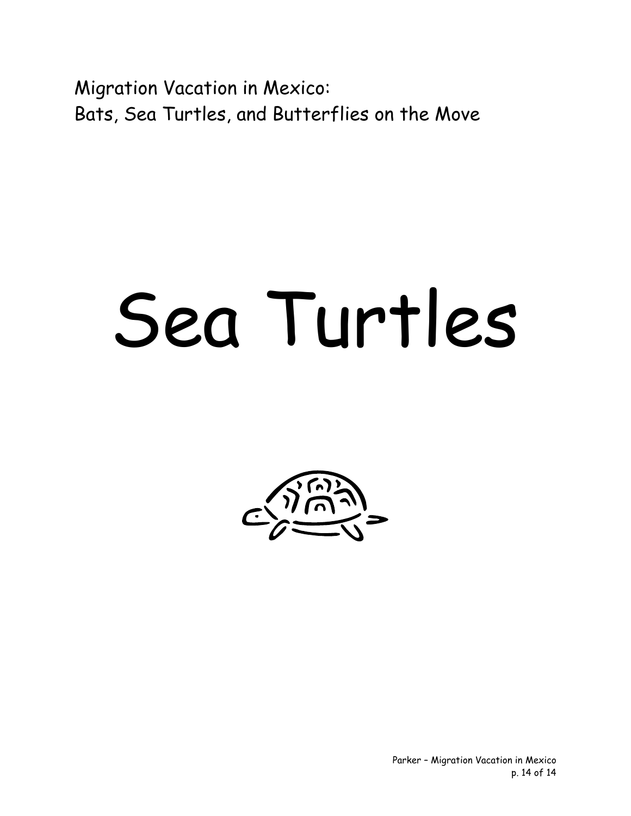Migration Vacation in Mexico: Bats, Sea Turtles, and Butterflies on the Move

## Sea Turtles



Parker – Migration Vacation in Mexico p. 14 of 14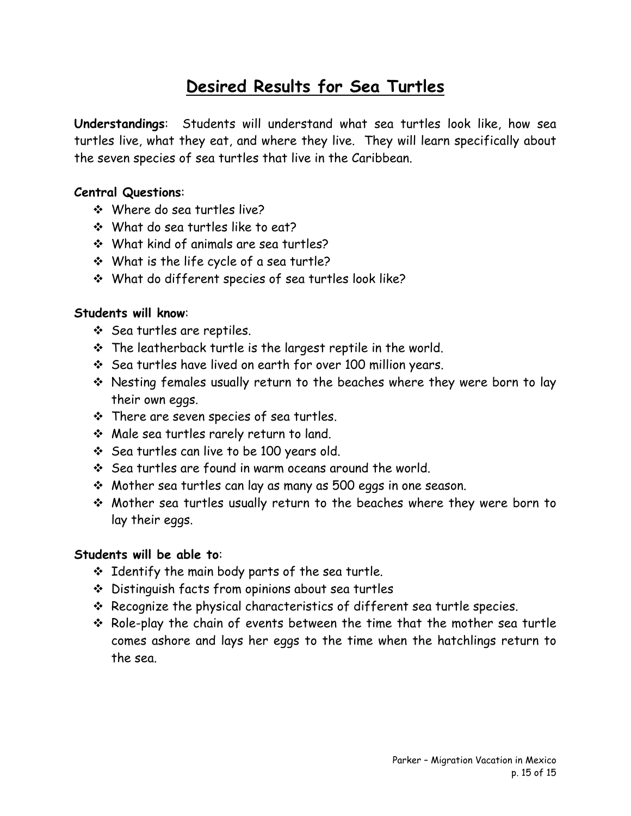#### **Desired Results for Sea Turtles**

**Understandings**: Students will understand what sea turtles look like, how sea turtles live, what they eat, and where they live. They will learn specifically about the seven species of sea turtles that live in the Caribbean.

#### **Central Questions**:

- Where do sea turtles live?
- What do sea turtles like to eat?
- What kind of animals are sea turtles?
- What is the life cycle of a sea turtle?
- What do different species of sea turtles look like?

#### **Students will know**:

- ❖ Sea turtles are reptiles.
- $\cdot$  The leatherback turtle is the largest reptile in the world.
- $\div$  Sea turtles have lived on earth for over 100 million years.
- \* Nesting females usually return to the beaches where they were born to lay their own eggs.
- $\cdot$  There are seven species of sea turtles.
- Male sea turtles rarely return to land.
- Sea turtles can live to be 100 years old.
- $\cdot$  Sea turtles are found in warm oceans around the world.
- Mother sea turtles can lay as many as 500 eggs in one season.
- Mother sea turtles usually return to the beaches where they were born to lay their eggs.

#### **Students will be able to**:

- $\div$  Identify the main body parts of the sea turtle.
- Distinguish facts from opinions about sea turtles
- $\cdot$  Recognize the physical characteristics of different sea turtle species.
- $\cdot$  Role-play the chain of events between the time that the mother sea turtle comes ashore and lays her eggs to the time when the hatchlings return to the sea.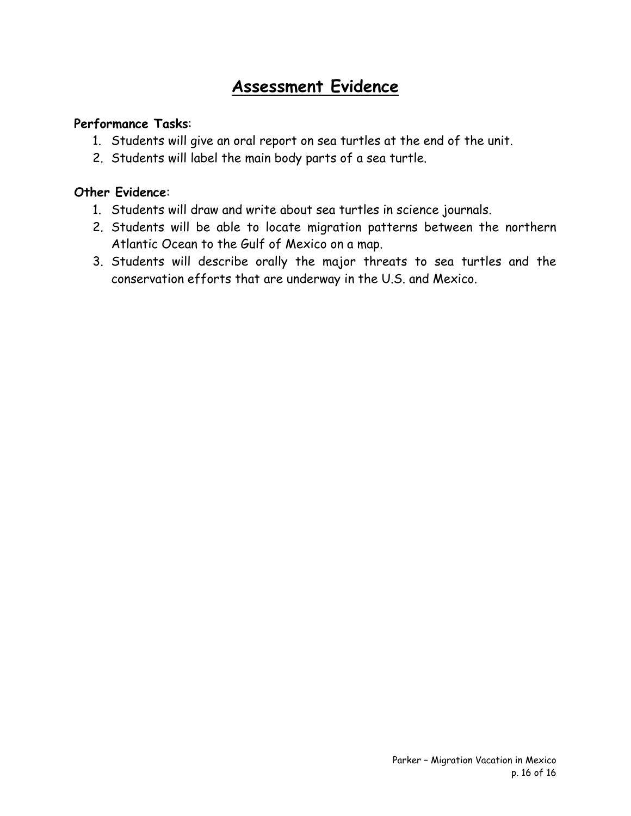#### **Assessment Evidence**

#### **Performance Tasks**:

- 1. Students will give an oral report on sea turtles at the end of the unit.
- 2. Students will label the main body parts of a sea turtle.

#### **Other Evidence**:

- 1. Students will draw and write about sea turtles in science journals.
- 2. Students will be able to locate migration patterns between the northern Atlantic Ocean to the Gulf of Mexico on a map.
- 3. Students will describe orally the major threats to sea turtles and the conservation efforts that are underway in the U.S. and Mexico.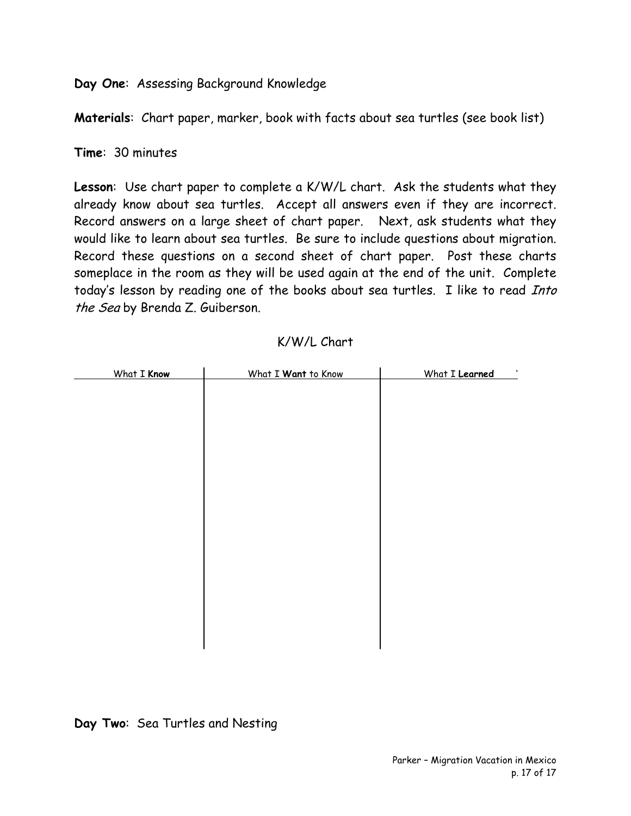**Day One**: Assessing Background Knowledge

**Materials**: Chart paper, marker, book with facts about sea turtles (see book list)

**Time**: 30 minutes

**Lesson**: Use chart paper to complete a K/W/L chart. Ask the students what they already know about sea turtles. Accept all answers even if they are incorrect. Record answers on a large sheet of chart paper. Next, ask students what they would like to learn about sea turtles. Be sure to include questions about migration. Record these questions on a second sheet of chart paper. Post these charts someplace in the room as they will be used again at the end of the unit. Complete today's lesson by reading one of the books about sea turtles. I like to read Into the Sea by Brenda Z. Guiberson.

| What I Know | What I Want to Know | What I Learned<br>$\mathbf{I}$ |
|-------------|---------------------|--------------------------------|
|             |                     |                                |
|             |                     |                                |
|             |                     |                                |
|             |                     |                                |
|             |                     |                                |
|             |                     |                                |
|             |                     |                                |
|             |                     |                                |
|             |                     |                                |
|             |                     |                                |
|             |                     |                                |
|             |                     |                                |
|             |                     |                                |
|             |                     |                                |
|             |                     |                                |
|             |                     |                                |
|             |                     |                                |
|             |                     |                                |
|             |                     |                                |
|             |                     |                                |
|             |                     |                                |

K/W/L Chart

**Day Two**: Sea Turtles and Nesting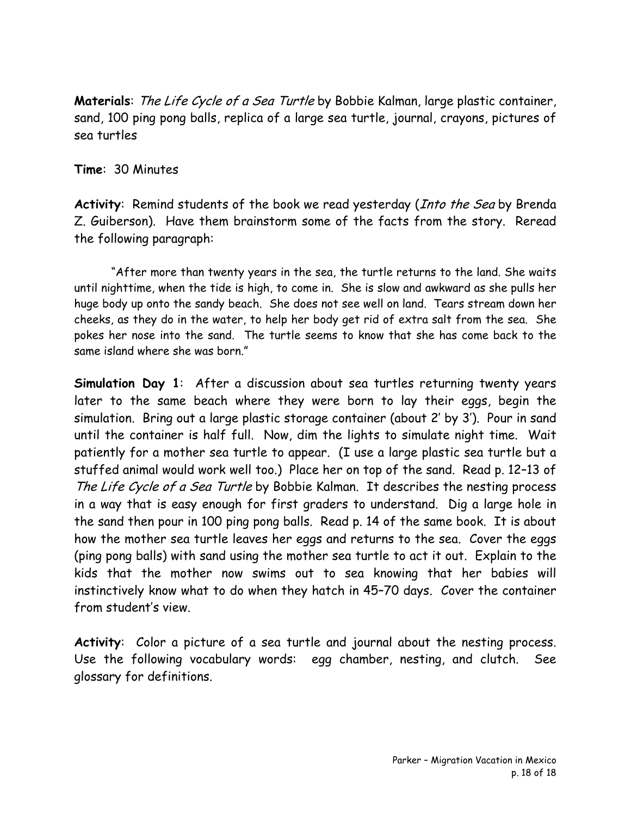**Materials**: The Life Cycle of a Sea Turtle by Bobbie Kalman, large plastic container, sand, 100 ping pong balls, replica of a large sea turtle, journal, crayons, pictures of sea turtles

**Time**: 30 Minutes

**Activity**: Remind students of the book we read yesterday (Into the Sea by Brenda Z. Guiberson). Have them brainstorm some of the facts from the story. Reread the following paragraph:

 "After more than twenty years in the sea, the turtle returns to the land. She waits until nighttime, when the tide is high, to come in. She is slow and awkward as she pulls her huge body up onto the sandy beach. She does not see well on land. Tears stream down her cheeks, as they do in the water, to help her body get rid of extra salt from the sea. She pokes her nose into the sand. The turtle seems to know that she has come back to the same island where she was born."

**Simulation Day 1**: After a discussion about sea turtles returning twenty years later to the same beach where they were born to lay their eggs, begin the simulation. Bring out a large plastic storage container (about 2' by 3'). Pour in sand until the container is half full. Now, dim the lights to simulate night time. Wait patiently for a mother sea turtle to appear. (I use a large plastic sea turtle but a stuffed animal would work well too.) Place her on top of the sand. Read p. 12–13 of The Life Cycle of a Sea Turtle by Bobbie Kalman. It describes the nesting process in a way that is easy enough for first graders to understand. Dig a large hole in the sand then pour in 100 ping pong balls. Read p. 14 of the same book. It is about how the mother sea turtle leaves her eggs and returns to the sea. Cover the eggs (ping pong balls) with sand using the mother sea turtle to act it out. Explain to the kids that the mother now swims out to sea knowing that her babies will instinctively know what to do when they hatch in 45–70 days. Cover the container from student's view.

**Activity**: Color a picture of a sea turtle and journal about the nesting process. Use the following vocabulary words: egg chamber, nesting, and clutch. See glossary for definitions.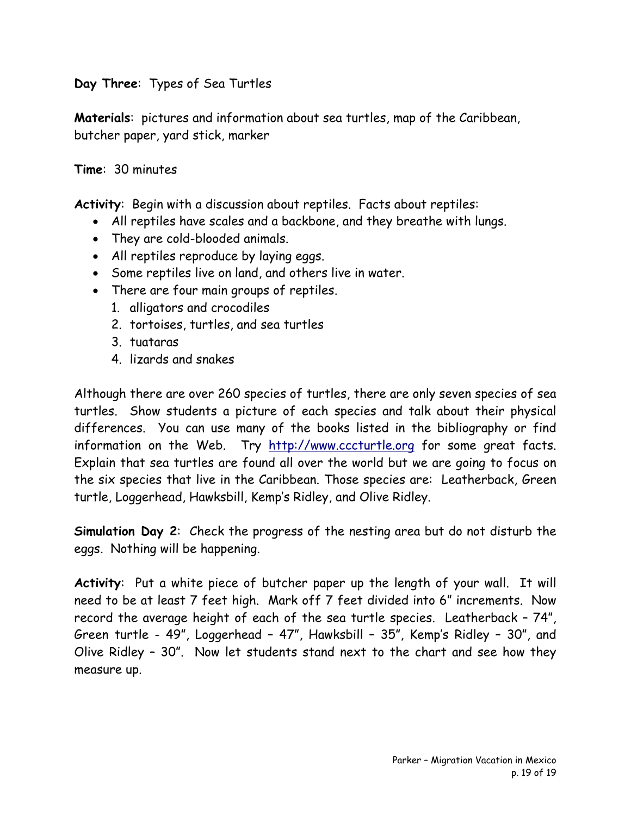**Day Three**: Types of Sea Turtles

**Materials**: pictures and information about sea turtles, map of the Caribbean, butcher paper, yard stick, marker

#### **Time**: 30 minutes

**Activity**: Begin with a discussion about reptiles. Facts about reptiles:

- All reptiles have scales and a backbone, and they breathe with lungs.
- They are cold-blooded animals.
- All reptiles reproduce by laying eggs.
- Some reptiles live on land, and others live in water.
- There are four main groups of reptiles.
	- 1. alligators and crocodiles
	- 2. tortoises, turtles, and sea turtles
	- 3. tuataras
	- 4. lizards and snakes

Although there are over 260 species of turtles, there are only seven species of sea turtles. Show students a picture of each species and talk about their physical differences. You can use many of the books listed in the bibliography or find information on the Web. Try [http://www.cccturtle.org](http://www.cccturtle.org/) for some great facts. Explain that sea turtles are found all over the world but we are going to focus on the six species that live in the Caribbean. Those species are: Leatherback, Green turtle, Loggerhead, Hawksbill, Kemp's Ridley, and Olive Ridley.

**Simulation Day 2**: Check the progress of the nesting area but do not disturb the eggs. Nothing will be happening.

**Activity**: Put a white piece of butcher paper up the length of your wall. It will need to be at least 7 feet high. Mark off 7 feet divided into 6" increments. Now record the average height of each of the sea turtle species. Leatherback – 74", Green turtle - 49", Loggerhead – 47", Hawksbill – 35", Kemp's Ridley – 30", and Olive Ridley – 30". Now let students stand next to the chart and see how they measure up.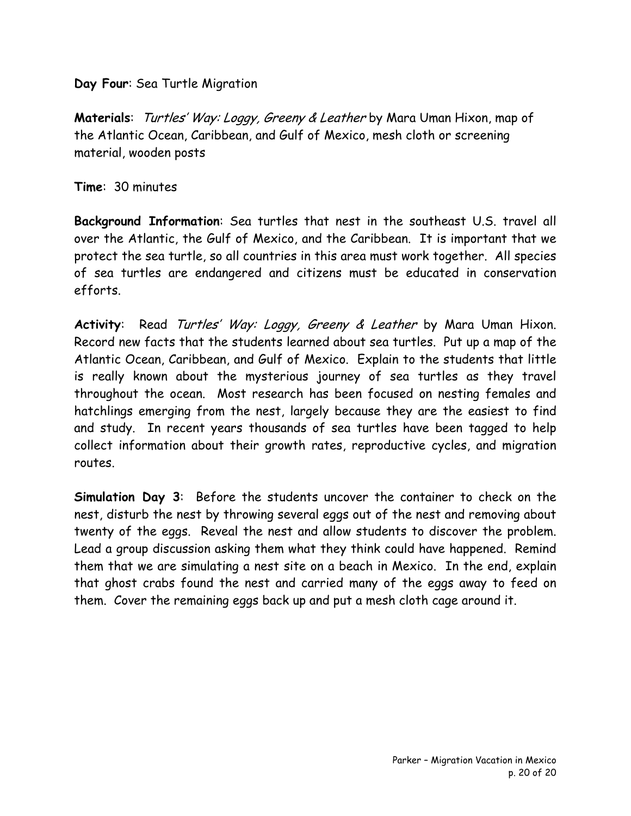**Day Four**: Sea Turtle Migration

**Materials**: Turtles' Way: Loggy, Greeny & Leather by Mara Uman Hixon, map of the Atlantic Ocean, Caribbean, and Gulf of Mexico, mesh cloth or screening material, wooden posts

**Time**: 30 minutes

**Background Information**: Sea turtles that nest in the southeast U.S. travel all over the Atlantic, the Gulf of Mexico, and the Caribbean. It is important that we protect the sea turtle, so all countries in this area must work together. All species of sea turtles are endangered and citizens must be educated in conservation efforts.

Activity: Read Turtles' Way: Loggy, Greeny & Leather by Mara Uman Hixon. Record new facts that the students learned about sea turtles. Put up a map of the Atlantic Ocean, Caribbean, and Gulf of Mexico. Explain to the students that little is really known about the mysterious journey of sea turtles as they travel throughout the ocean. Most research has been focused on nesting females and hatchlings emerging from the nest, largely because they are the easiest to find and study. In recent years thousands of sea turtles have been tagged to help collect information about their growth rates, reproductive cycles, and migration routes.

**Simulation Day 3**: Before the students uncover the container to check on the nest, disturb the nest by throwing several eggs out of the nest and removing about twenty of the eggs. Reveal the nest and allow students to discover the problem. Lead a group discussion asking them what they think could have happened. Remind them that we are simulating a nest site on a beach in Mexico. In the end, explain that ghost crabs found the nest and carried many of the eggs away to feed on them. Cover the remaining eggs back up and put a mesh cloth cage around it.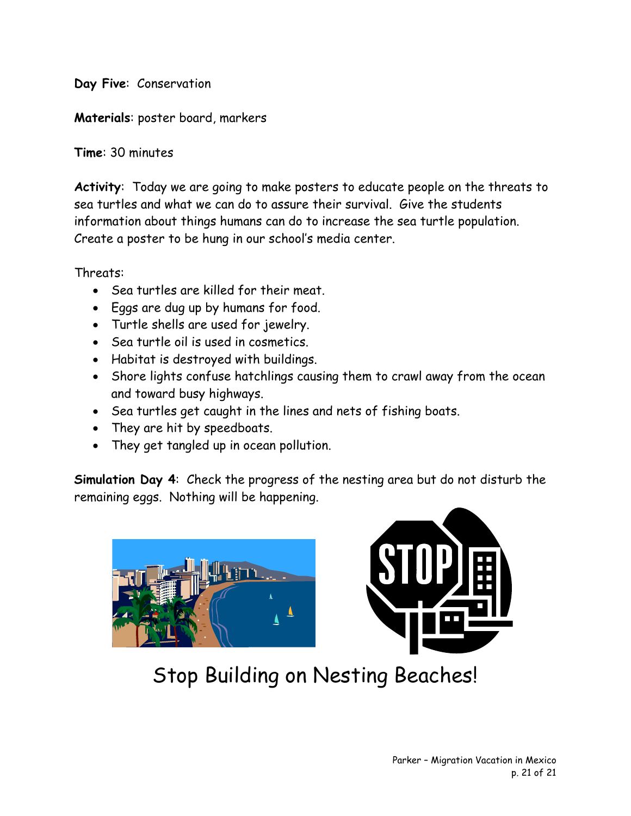**Day Five**: Conservation

**Materials**: poster board, markers

**Time**: 30 minutes

**Activity**: Today we are going to make posters to educate people on the threats to sea turtles and what we can do to assure their survival. Give the students information about things humans can do to increase the sea turtle population. Create a poster to be hung in our school's media center.

Threats:

- Sea turtles are killed for their meat.
- Eggs are dug up by humans for food.
- Turtle shells are used for jewelry.
- Sea turtle oil is used in cosmetics.
- Habitat is destroyed with buildings.
- Shore lights confuse hatchlings causing them to crawl away from the ocean and toward busy highways.
- Sea turtles get caught in the lines and nets of fishing boats.
- They are hit by speedboats.
- They get tangled up in ocean pollution.

**Simulation Day 4**: Check the progress of the nesting area but do not disturb the remaining eggs. Nothing will be happening.





Stop Building on Nesting Beaches!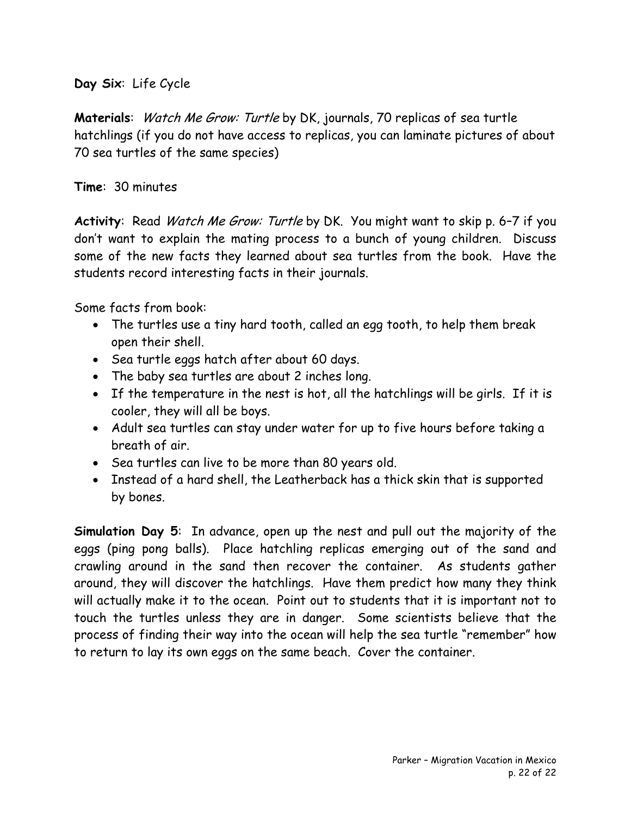**Day Six**: Life Cycle

**Materials**: Watch Me Grow: Turtle by DK, journals, 70 replicas of sea turtle hatchlings (if you do not have access to replicas, you can laminate pictures of about 70 sea turtles of the same species)

#### **Time**: 30 minutes

**Activity**: Read Watch Me Grow: Turtle by DK. You might want to skip p. 6–7 if you don't want to explain the mating process to a bunch of young children. Discuss some of the new facts they learned about sea turtles from the book. Have the students record interesting facts in their journals.

Some facts from book:

- The turtles use a tiny hard tooth, called an egg tooth, to help them break open their shell.
- Sea turtle eggs hatch after about 60 days.
- The baby sea turtles are about 2 inches long.
- If the temperature in the nest is hot, all the hatchlings will be girls. If it is cooler, they will all be boys.
- Adult sea turtles can stay under water for up to five hours before taking a breath of air.
- Sea turtles can live to be more than 80 years old.
- Instead of a hard shell, the Leatherback has a thick skin that is supported by bones.

**Simulation Day 5**: In advance, open up the nest and pull out the majority of the eggs (ping pong balls). Place hatchling replicas emerging out of the sand and crawling around in the sand then recover the container. As students gather around, they will discover the hatchlings. Have them predict how many they think will actually make it to the ocean. Point out to students that it is important not to touch the turtles unless they are in danger. Some scientists believe that the process of finding their way into the ocean will help the sea turtle "remember" how to return to lay its own eggs on the same beach. Cover the container.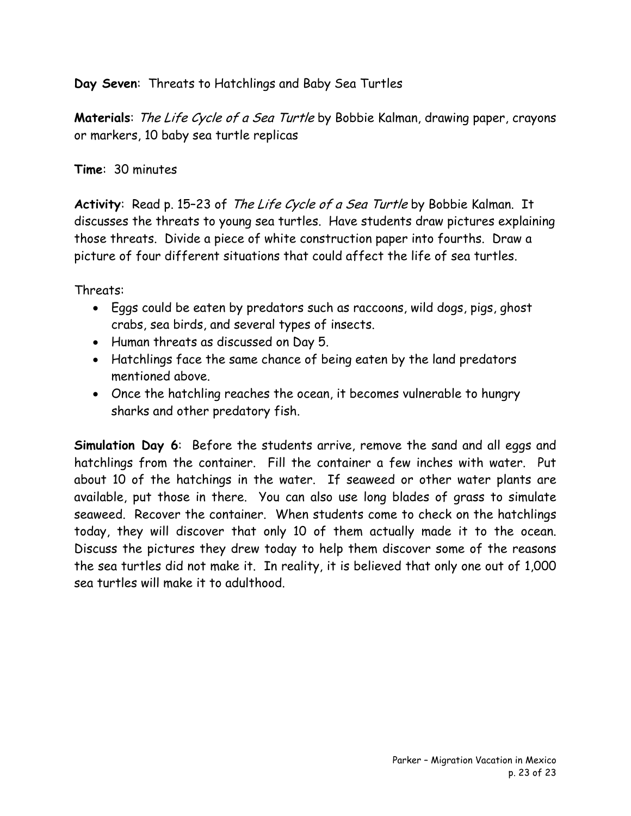**Day Seven**: Threats to Hatchlings and Baby Sea Turtles

**Materials**: The Life Cycle of a Sea Turtle by Bobbie Kalman, drawing paper, crayons or markers, 10 baby sea turtle replicas

#### **Time**: 30 minutes

**Activity**: Read p. 15–23 of The Life Cycle of a Sea Turtle by Bobbie Kalman. It discusses the threats to young sea turtles. Have students draw pictures explaining those threats. Divide a piece of white construction paper into fourths. Draw a picture of four different situations that could affect the life of sea turtles.

Threats:

- Eggs could be eaten by predators such as raccoons, wild dogs, pigs, ghost crabs, sea birds, and several types of insects.
- Human threats as discussed on Day 5.
- Hatchlings face the same chance of being eaten by the land predators mentioned above.
- Once the hatchling reaches the ocean, it becomes vulnerable to hungry sharks and other predatory fish.

**Simulation Day 6**: Before the students arrive, remove the sand and all eggs and hatchlings from the container. Fill the container a few inches with water. Put about 10 of the hatchings in the water. If seaweed or other water plants are available, put those in there. You can also use long blades of grass to simulate seaweed. Recover the container. When students come to check on the hatchlings today, they will discover that only 10 of them actually made it to the ocean. Discuss the pictures they drew today to help them discover some of the reasons the sea turtles did not make it. In reality, it is believed that only one out of 1,000 sea turtles will make it to adulthood.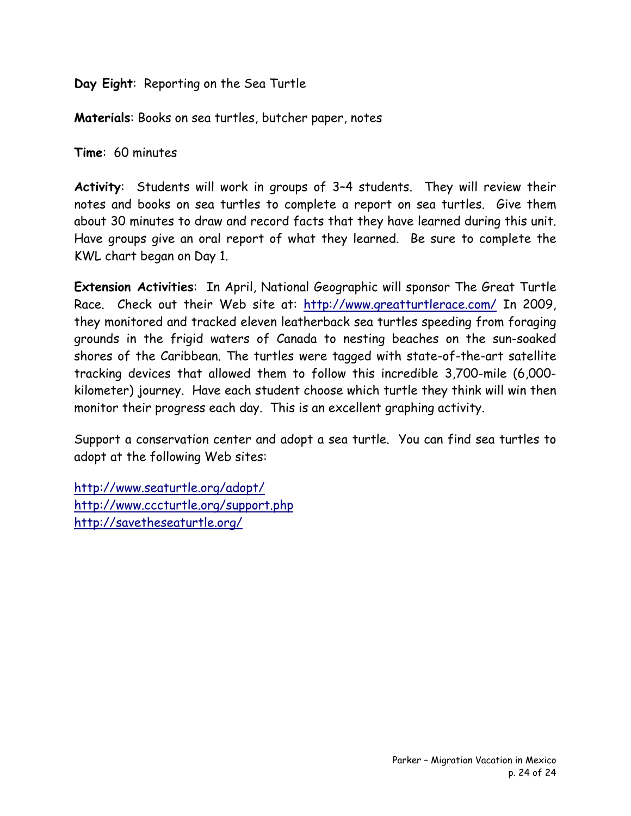**Day Eight**: Reporting on the Sea Turtle

**Materials**: Books on sea turtles, butcher paper, notes

**Time**: 60 minutes

**Activity**: Students will work in groups of 3–4 students. They will review their notes and books on sea turtles to complete a report on sea turtles. Give them about 30 minutes to draw and record facts that they have learned during this unit. Have groups give an oral report of what they learned. Be sure to complete the KWL chart began on Day 1.

**Extension Activities**: In April, National Geographic will sponsor The Great Turtle Race. Check out their Web site at: <http://www.greatturtlerace.com/> In 2009, they monitored and tracked eleven leatherback sea turtles speeding from foraging grounds in the frigid waters of Canada to nesting beaches on the sun-soaked shores of the Caribbean. The turtles were tagged with state-of-the-art satellite tracking devices that allowed them to follow this incredible 3,700-mile (6,000 kilometer) journey. Have each student choose which turtle they think will win then monitor their progress each day. This is an excellent graphing activity.

Support a conservation center and adopt a sea turtle. You can find sea turtles to adopt at the following Web sites:

<http://www.seaturtle.org/adopt/> <http://www.cccturtle.org/support.php> <http://savetheseaturtle.org/>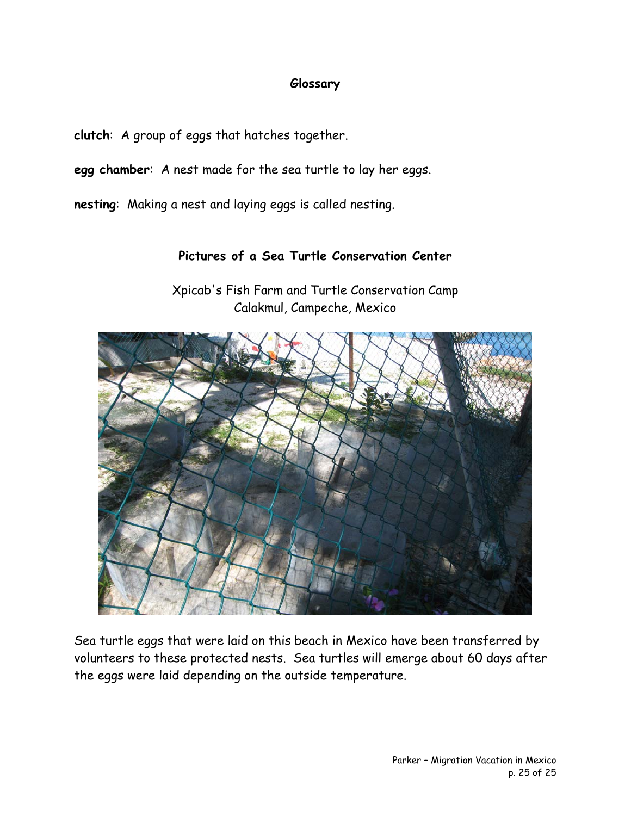#### **Glossary**

**clutch**: A group of eggs that hatches together.

**egg chamber**: A nest made for the sea turtle to lay her eggs.

**nesting**: Making a nest and laying eggs is called nesting.

#### **Pictures of a Sea Turtle Conservation Center**

Xpicab's Fish Farm and Turtle Conservation Camp Calakmul, Campeche, Mexico



Sea turtle eggs that were laid on this beach in Mexico have been transferred by volunteers to these protected nests. Sea turtles will emerge about 60 days after the eggs were laid depending on the outside temperature.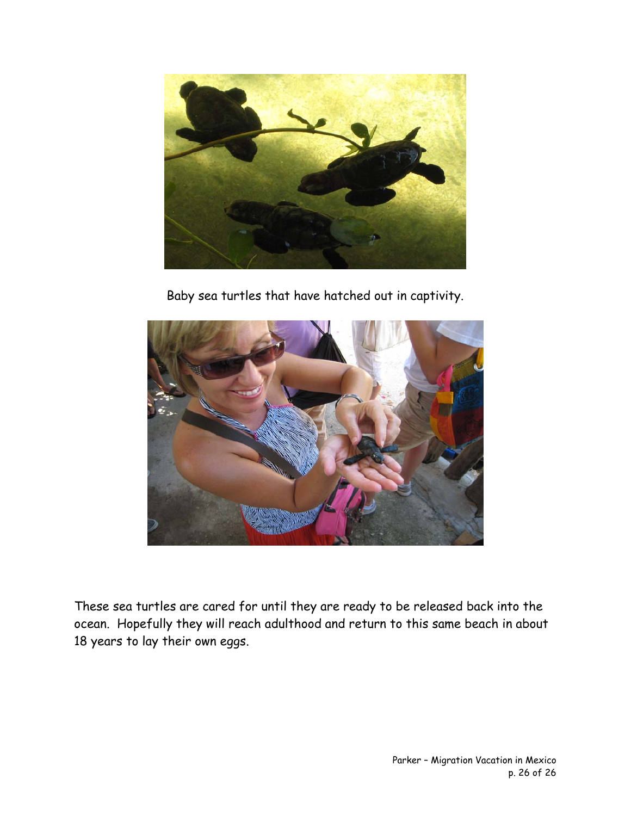

Baby sea turtles that have hatched out in captivity.



These sea turtles are cared for until they are ready to be released back into the ocean. Hopefully they will reach adulthood and return to this same beach in about 18 years to lay their own eggs.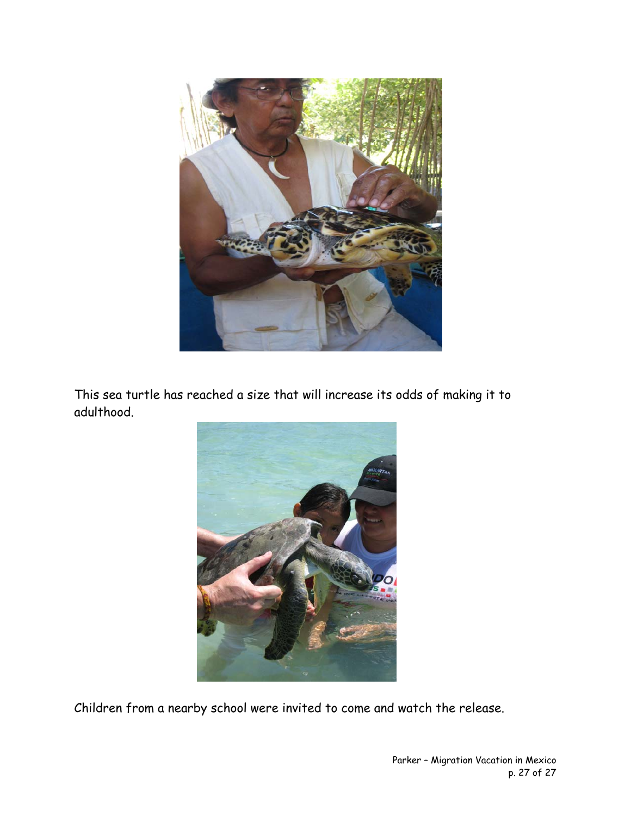

This sea turtle has reached a size that will increase its odds of making it to adulthood.



Children from a nearby school were invited to come and watch the release.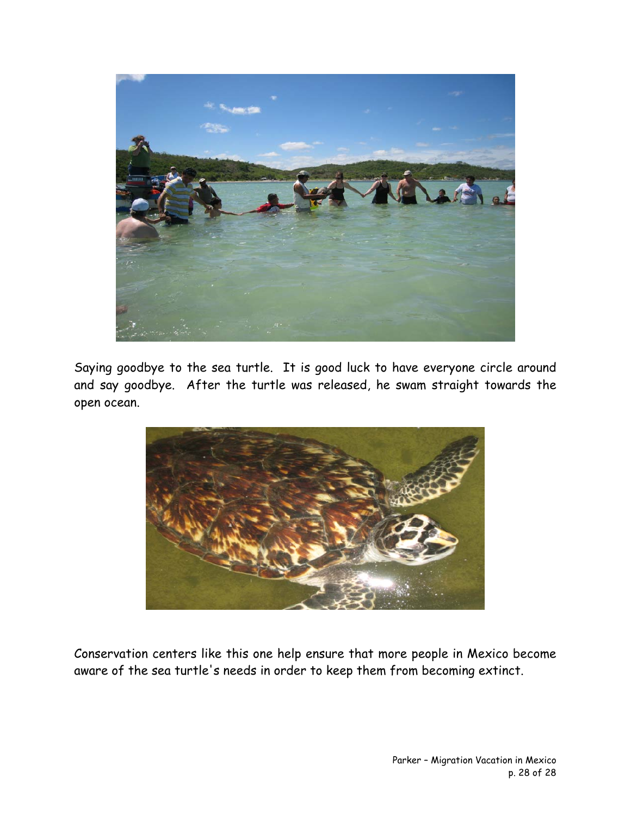

Saying goodbye to the sea turtle. It is good luck to have everyone circle around and say goodbye. After the turtle was released, he swam straight towards the open ocean.



Conservation centers like this one help ensure that more people in Mexico become aware of the sea turtle's needs in order to keep them from becoming extinct.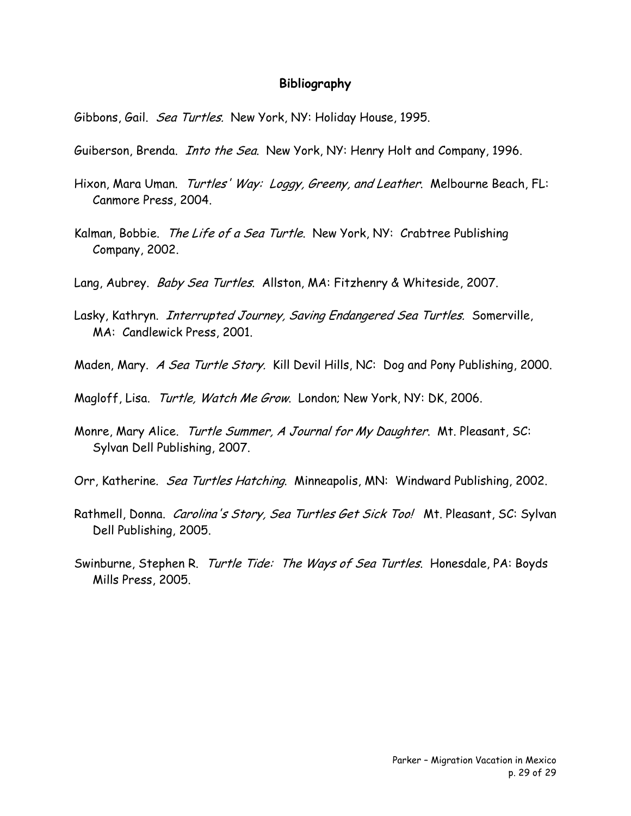#### **Bibliography**

Gibbons, Gail. Sea Turtles. New York, NY: Holiday House, 1995.

- Guiberson, Brenda. *Into the Sea*. New York, NY: Henry Holt and Company, 1996.
- Hixon, Mara Uman. Turtles' Way: Loggy, Greeny, and Leather. Melbourne Beach, FL: Canmore Press, 2004.
- Kalman, Bobbie. The Life of a Sea Turtle. New York, NY: Crabtree Publishing Company, 2002.
- Lang, Aubrey. Baby Sea Turtles. Allston, MA: Fitzhenry & Whiteside, 2007.
- Lasky, Kathryn. *Interrupted Journey, Saving Endangered Sea Turtles*. Somerville, MA: Candlewick Press, 2001.
- Maden, Mary. A Sea Turtle Story. Kill Devil Hills, NC: Dog and Pony Publishing, 2000.
- Magloff, Lisa. Turtle, Watch Me Grow. London; New York, NY: DK, 2006.
- Monre, Mary Alice. Turtle Summer, A Journal for My Daughter. Mt. Pleasant, SC: Sylvan Dell Publishing, 2007.
- Orr, Katherine. Sea Turtles Hatching. Minneapolis, MN: Windward Publishing, 2002.
- Rathmell, Donna. Carolina's Story, Sea Turtles Get Sick Too! Mt. Pleasant, SC: Sylvan Dell Publishing, 2005.
- Swinburne, Stephen R. Turtle Tide: The Ways of Sea Turtles. Honesdale, PA: Boyds Mills Press, 2005.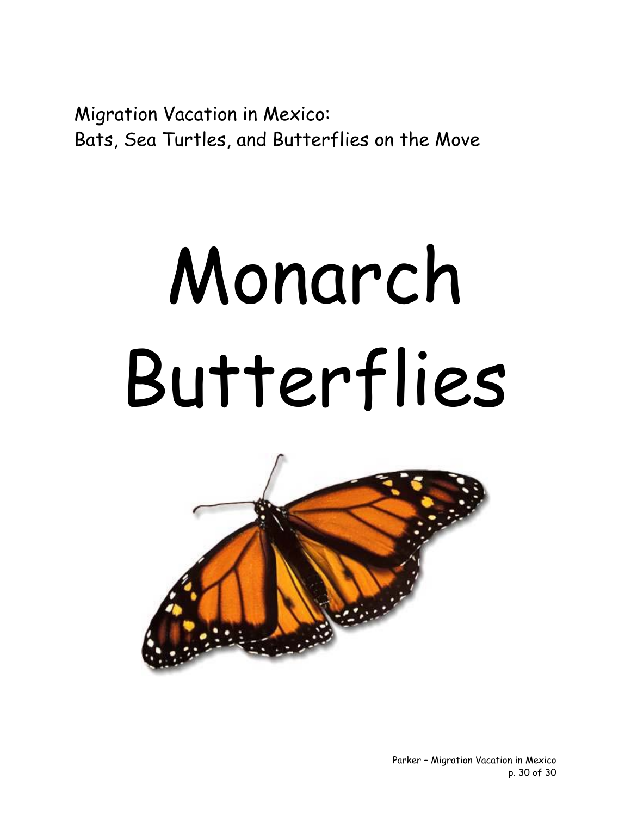Migration Vacation in Mexico: Bats, Sea Turtles, and Butterflies on the Move

# Monarch Butterflies

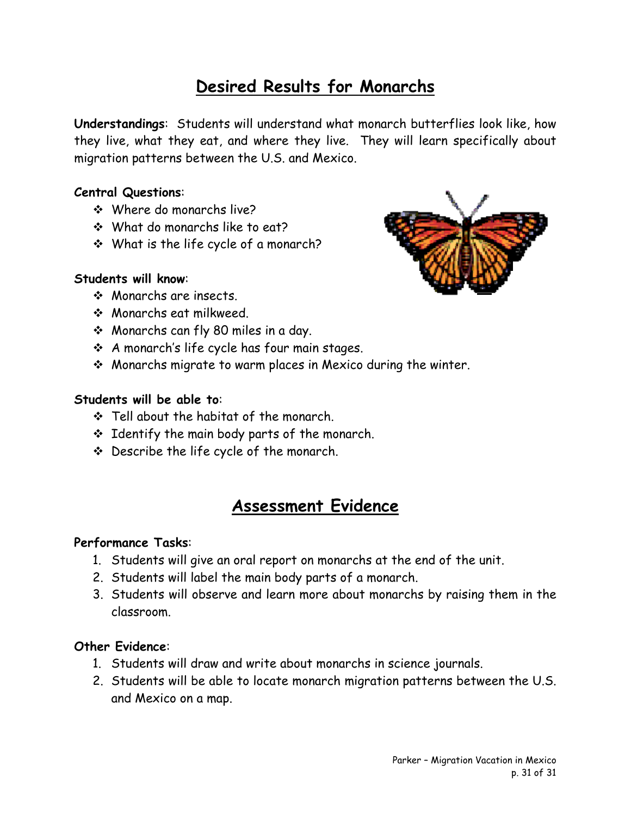#### **Desired Results for Monarchs**

**Understandings**: Students will understand what monarch butterflies look like, how they live, what they eat, and where they live. They will learn specifically about migration patterns between the U.S. and Mexico.

#### **Central Questions**:

- Where do monarchs live?
- What do monarchs like to eat?
- What is the life cycle of a monarch?

#### **Students will know**:

- Monarchs are insects.
- Monarchs eat milkweed.
- Monarchs can fly 80 miles in a day.
- A monarch's life cycle has four main stages.
- Monarchs migrate to warm places in Mexico during the winter.

#### **Students will be able to**:

- $\div$  Tell about the habitat of the monarch.
- $\div$  Identify the main body parts of the monarch.
- Describe the life cycle of the monarch.

#### **Assessment Evidence**

#### **Performance Tasks**:

- 1. Students will give an oral report on monarchs at the end of the unit.
- 2. Students will label the main body parts of a monarch.
- 3. Students will observe and learn more about monarchs by raising them in the classroom.

#### **Other Evidence**:

- 1. Students will draw and write about monarchs in science journals.
- 2. Students will be able to locate monarch migration patterns between the U.S. and Mexico on a map.

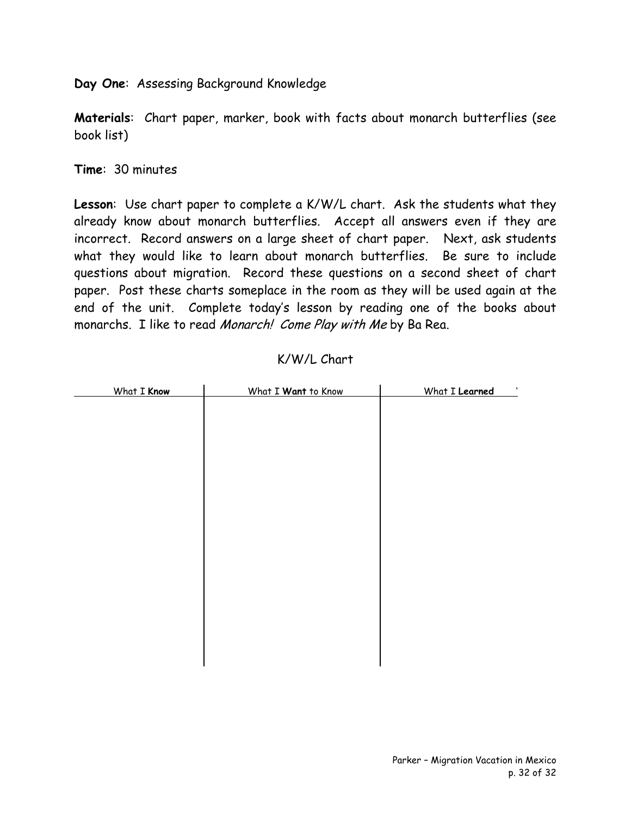**Day One**: Assessing Background Knowledge

**Materials**: Chart paper, marker, book with facts about monarch butterflies (see book list)

**Time**: 30 minutes

**Lesson**: Use chart paper to complete a K/W/L chart. Ask the students what they already know about monarch butterflies. Accept all answers even if they are incorrect. Record answers on a large sheet of chart paper. Next, ask students what they would like to learn about monarch butterflies. Be sure to include questions about migration. Record these questions on a second sheet of chart paper. Post these charts someplace in the room as they will be used again at the end of the unit. Complete today's lesson by reading one of the books about monarchs. I like to read Monarch! Come Play with Me by Ba Rea.

| What I Know | What I Want to Know | What I Learned<br>$\blacksquare$ |
|-------------|---------------------|----------------------------------|
|             |                     |                                  |
|             |                     |                                  |
|             |                     |                                  |
|             |                     |                                  |
|             |                     |                                  |
|             |                     |                                  |
|             |                     |                                  |
|             |                     |                                  |
|             |                     |                                  |
|             |                     |                                  |
|             |                     |                                  |
|             |                     |                                  |
|             |                     |                                  |
|             |                     |                                  |
|             |                     |                                  |
|             |                     |                                  |
|             |                     |                                  |
|             |                     |                                  |

#### K/W/L Chart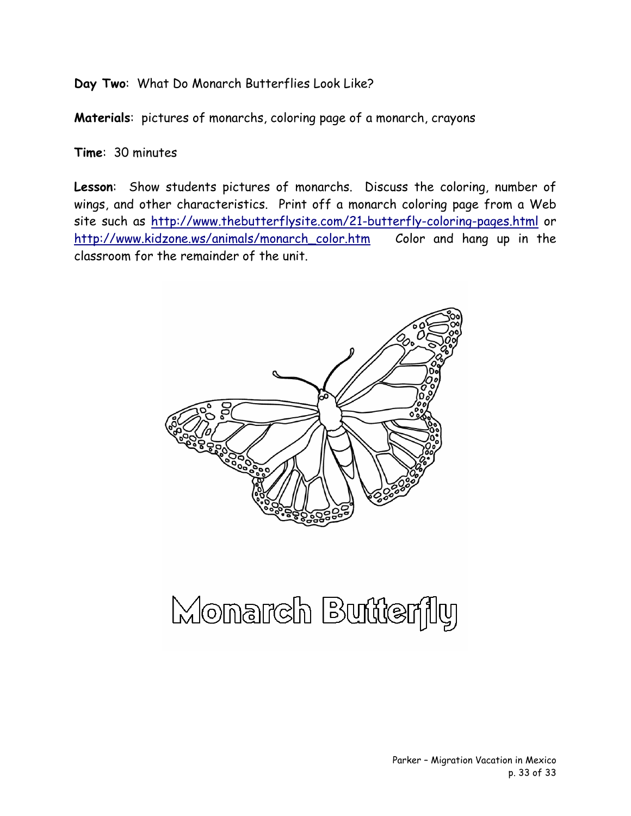**Day Two**: What Do Monarch Butterflies Look Like?

**Materials**: pictures of monarchs, coloring page of a monarch, crayons

**Time**: 30 minutes

**Lesson**: Show students pictures of monarchs. Discuss the coloring, number of wings, and other characteristics. Print off a monarch coloring page from a Web site such as <http://www.thebutterflysite.com/21-butterfly-coloring-pages.html>or [http://www.kidzone.ws/animals/monarch\\_color.htm](http://www.kidzone.ws/animals/monarch_color.htm) Color and hang up in the classroom for the remainder of the unit.



### Monarch Butterfly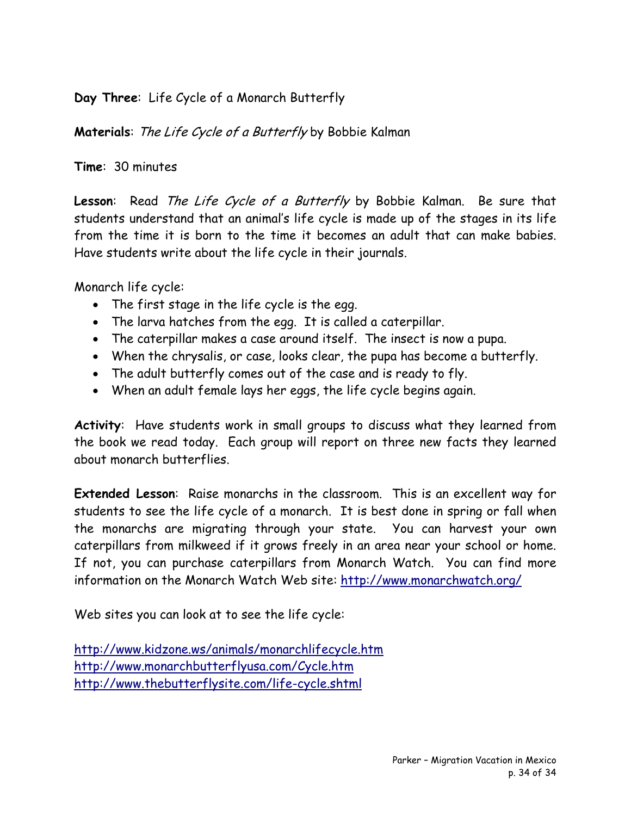**Day Three**: Life Cycle of a Monarch Butterfly

**Materials**: The Life Cycle of a Butterfly by Bobbie Kalman

**Time**: 30 minutes

**Lesson**: Read The Life Cycle of a Butterfly by Bobbie Kalman. Be sure that students understand that an animal's life cycle is made up of the stages in its life from the time it is born to the time it becomes an adult that can make babies. Have students write about the life cycle in their journals.

Monarch life cycle:

- The first stage in the life cycle is the egg.
- The larva hatches from the egg. It is called a caterpillar.
- The caterpillar makes a case around itself. The insect is now a pupa.
- When the chrysalis, or case, looks clear, the pupa has become a butterfly.
- The adult butterfly comes out of the case and is ready to fly.
- When an adult female lays her eggs, the life cycle begins again.

**Activity**: Have students work in small groups to discuss what they learned from the book we read today. Each group will report on three new facts they learned about monarch butterflies.

**Extended Lesson**: Raise monarchs in the classroom. This is an excellent way for students to see the life cycle of a monarch. It is best done in spring or fall when the monarchs are migrating through your state. You can harvest your own caterpillars from milkweed if it grows freely in an area near your school or home. If not, you can purchase caterpillars from Monarch Watch. You can find more information on the Monarch Watch Web site: <http://www.monarchwatch.org/>

Web sites you can look at to see the life cycle:

<http://www.kidzone.ws/animals/monarchlifecycle.htm> <http://www.monarchbutterflyusa.com/Cycle.htm> <http://www.thebutterflysite.com/life-cycle.shtml>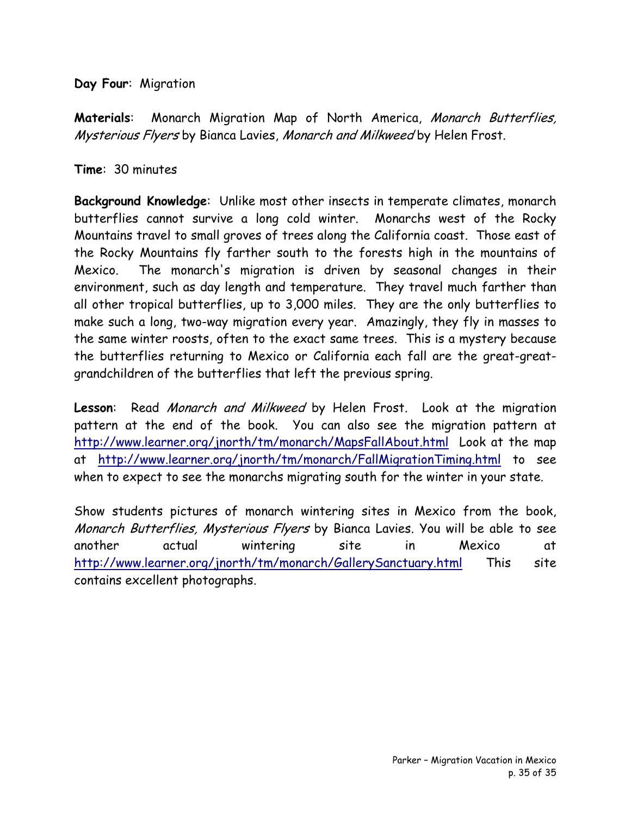**Day Four**: Migration

**Materials**: Monarch Migration Map of North America, Monarch Butterflies, Mysterious Flyers by Bianca Lavies, Monarch and Milkweed by Helen Frost.

#### **Time**: 30 minutes

**Background Knowledge**: Unlike most other insects in temperate climates, monarch butterflies cannot survive a long cold winter. Monarchs west of the Rocky Mountains travel to small groves of trees along the California coast. Those east of the Rocky Mountains fly farther south to the forests high in the mountains of Mexico. The monarch's migration is driven by seasonal changes in their environment, such as day length and temperature. They travel much farther than all other tropical butterflies, up to 3,000 miles. They are the only butterflies to make such a long, two-way migration every year. Amazingly, they fly in masses to the same winter roosts, often to the exact same trees. This is a mystery because the butterflies returning to Mexico or California each fall are the great-greatgrandchildren of the butterflies that left the previous spring.

**Lesson**: Read Monarch and Milkweed by Helen Frost. Look at the migration pattern at the end of the book. You can also see the migration pattern at <http://www.learner.org/jnorth/tm/monarch/MapsFallAbout.html> Look at the map at <http://www.learner.org/jnorth/tm/monarch/FallMigrationTiming.html> to see when to expect to see the monarchs migrating south for the winter in your state.

Show students pictures of monarch wintering sites in Mexico from the book, Monarch Butterflies, Mysterious Flyers by Bianca Lavies. You will be able to see another actual wintering site in Mexico at <http://www.learner.org/jnorth/tm/monarch/GallerySanctuary.html>This site contains excellent photographs.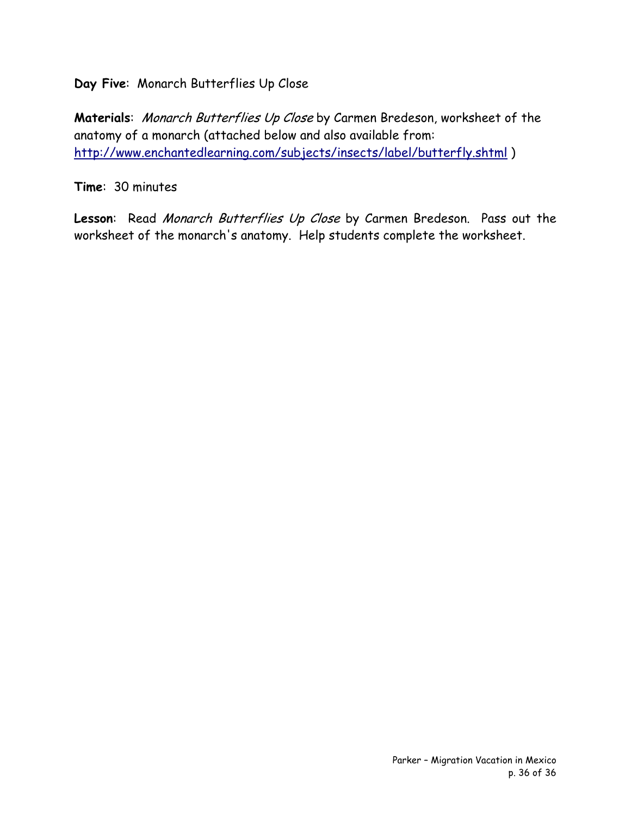**Day Five**: Monarch Butterflies Up Close

**Materials**: Monarch Butterflies Up Close by Carmen Bredeson, worksheet of the anatomy of a monarch (attached below and also available from: <http://www.enchantedlearning.com/subjects/insects/label/butterfly.shtml> )

**Time**: 30 minutes

Lesson: Read Monarch Butterflies Up Close by Carmen Bredeson. Pass out the worksheet of the monarch's anatomy. Help students complete the worksheet.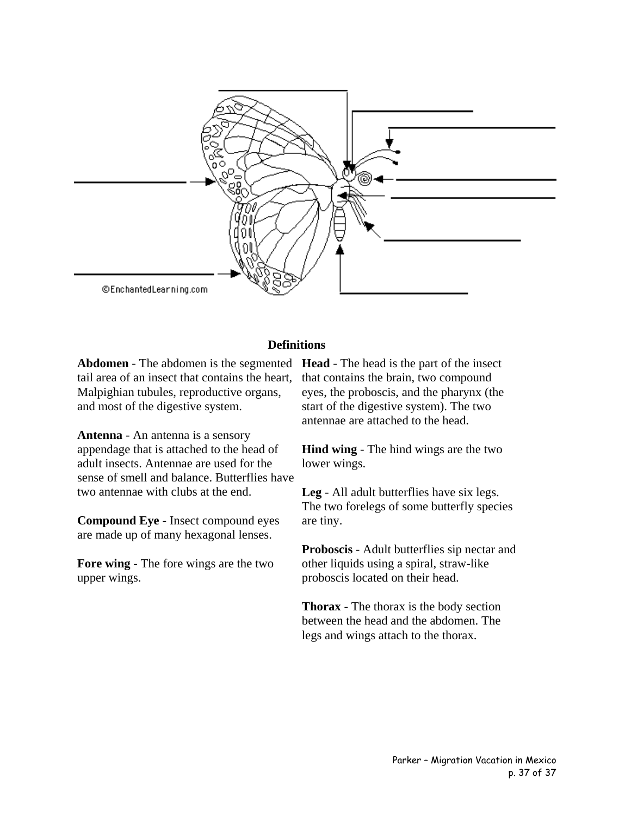

#### **Definitions**

tail area of an insect that contains the heart, Malpighian tubules, reproductive organs, and most of the digestive system.

**Antenna** - An antenna is a sensory appendage that is attached to the head of adult insects. Antennae are used for the sense of smell and balance. Butterflies have two antennae with clubs at the end.

**Compound Eye** - Insect compound eyes are made up of many hexagonal lenses.

**Fore wing** - The fore wings are the two upper wings.

**Abdomen** - The abdomen is the segmented **Head** - The head is the part of the insect that contains the brain, two compound eyes, the proboscis, and the pharynx (the start of the digestive system). The two antennae are attached to the head.

> **Hind wing** - The hind wings are the two lower wings.

**Leg** - All adult butterflies have six legs. The two forelegs of some butterfly species are tiny.

**Proboscis** - Adult butterflies sip nectar and other liquids using a spiral, straw-like proboscis located on their head.

**Thorax** - The thorax is the body section between the head and the abdomen. The legs and wings attach to the thorax.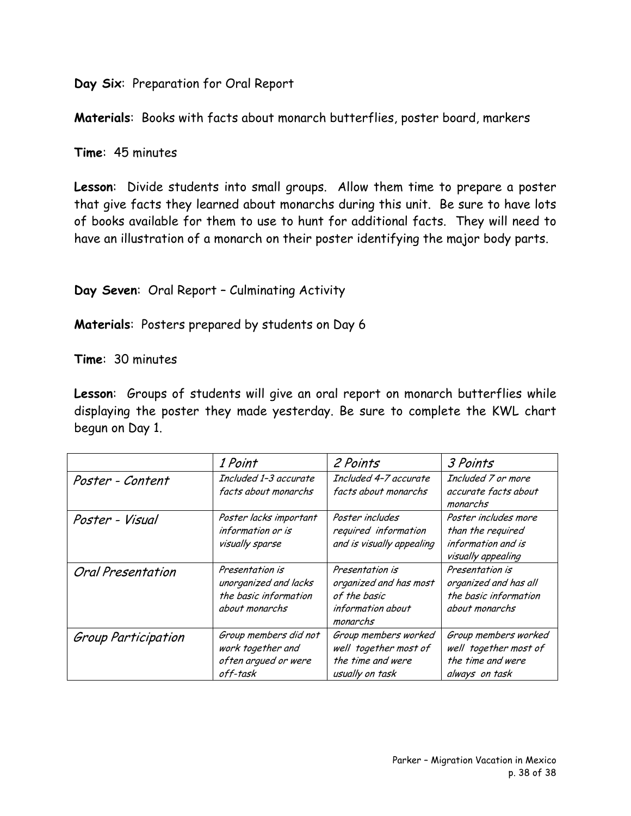**Day Six**: Preparation for Oral Report

**Materials**: Books with facts about monarch butterflies, poster board, markers

**Time**: 45 minutes

**Lesson**: Divide students into small groups. Allow them time to prepare a poster that give facts they learned about monarchs during this unit. Be sure to have lots of books available for them to use to hunt for additional facts. They will need to have an illustration of a monarch on their poster identifying the major body parts.

#### **Day Seven**: Oral Report – Culminating Activity

**Materials**: Posters prepared by students on Day 6

**Time**: 30 minutes

**Lesson**: Groups of students will give an oral report on monarch butterflies while displaying the poster they made yesterday. Be sure to complete the KWL chart begun on Day 1.

|                          | 1 Point                                                                             | 2 Points                                                                                   | 3 Points                                                                              |
|--------------------------|-------------------------------------------------------------------------------------|--------------------------------------------------------------------------------------------|---------------------------------------------------------------------------------------|
| Poster - Content         | Included 1-3 accurate<br>facts about monarchs                                       | Included 4-7 accurate<br>facts about monarchs                                              | Included 7 or more<br>accurate facts about<br>monarchs                                |
| Poster - Visual          | Poster lacks important<br>information or is<br>visually sparse                      | Poster includes<br>required information<br>and is visually appealing                       | Poster includes more<br>than the required<br>information and is<br>visually appealing |
| <b>Oral Presentation</b> | Presentation is<br>unorganized and lacks<br>the basic information<br>about monarchs | Presentation is<br>organized and has most<br>of the basic<br>information about<br>monarchs | Presentation is<br>organized and has all<br>the basic information<br>about monarchs   |
| Group Participation      | Group members did not<br>work together and<br>often arqued or were<br>off-task      | Group members worked<br>well together most of<br>the time and were<br>usually on task      | Group members worked<br>well together most of<br>the time and were<br>always on task  |